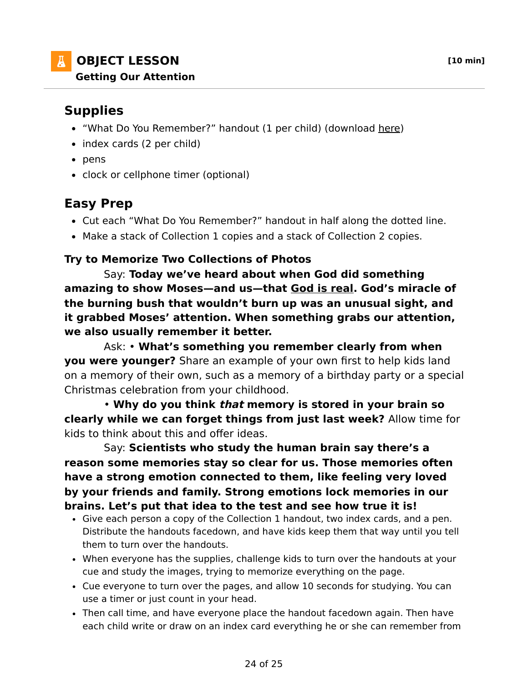## **OBJECT LESSON [10 min] Getting Our Attention**

# **Supplies**

- . "What Do You Remember?" handout (1 per child) (download here)
- index cards (2 per child)
- pens
- clock or cellphone timer (optional)

## **Easy Prep**

- Cut each "What Do You Remember?" handout in half along the dotted line.
- Make a stack of Collection 1 copies and a stack of Collection 2 copies.

### **Try to Memorize Two Collections of Photos**

 Say: **Today we've heard about when God did something amazing to show Moses—and us—that God is real. God's miracle of the burning bush that wouldn't burn up was an unusual sight, and it grabbed Moses' attention. When something grabs our attention, we also usually remember it better.**

 Ask: • **What's something you remember clearly from when you were younger?** Share an example of your own first to help kids land on a memory of their own, such as a memory of a birthday party or a special Christmas celebration from your childhood.

 • **Why do you think that memory is stored in your brain so clearly while we can forget things from just last week?** Allow time for kids to think about this and offer ideas.

 Say: **Scientists who study the human brain say there's a reason some memories stay so clear for us. Those memories often have a strong emotion connected to them, like feeling very loved by your friends and family. Strong emotions lock memories in our brains. Let's put that idea to the test and see how true it is!**

- Give each person a copy of the Collection 1 handout, two index cards, and a pen. Distribute the handouts facedown, and have kids keep them that way until you tell them to turn over the handouts.
- When everyone has the supplies, challenge kids to turn over the handouts at your cue and study the images, trying to memorize everything on the page.
- Cue everyone to turn over the pages, and allow 10 seconds for studying. You can use a timer or just count in your head.
- Then call time, and have everyone place the handout facedown again. Then have each child write or draw on an index card everything he or she can remember from